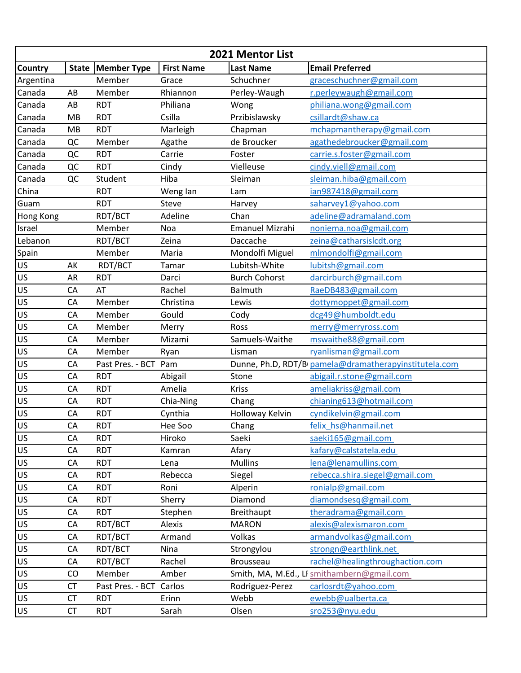| 2021 Mentor List |              |                    |                   |                        |                                                        |  |
|------------------|--------------|--------------------|-------------------|------------------------|--------------------------------------------------------|--|
| <b>Country</b>   | <b>State</b> | <b>Member Type</b> | <b>First Name</b> | <b>Last Name</b>       | <b>Email Preferred</b>                                 |  |
| Argentina        |              | Member             | Grace             | Schuchner              | graceschuchner@gmail.com                               |  |
| Canada           | AB           | Member             | Rhiannon          | Perley-Waugh           | r.perleywaugh@gmail.com                                |  |
| Canada           | AB           | <b>RDT</b>         | Philiana          | Wong                   | philiana.wong@gmail.com                                |  |
| Canada           | MB           | <b>RDT</b>         | Csilla            | Przibislawsky          | csillardt@shaw.ca                                      |  |
| Canada           | MB           | <b>RDT</b>         | Marleigh          | Chapman                | mchapmantherapy@gmail.com                              |  |
| Canada           | QC           | Member             | Agathe            | de Broucker            | agathedebroucker@gmail.com                             |  |
| Canada           | QC           | <b>RDT</b>         | Carrie            | Foster                 | carrie.s.foster@gmail.com                              |  |
| Canada           | QC           | <b>RDT</b>         | Cindy             | Vielleuse              | cindy.viell@gmail.com                                  |  |
| Canada           | QC           | Student            | Hiba              | Sleiman                | sleiman.hiba@gmail.com                                 |  |
| China            |              | <b>RDT</b>         | Weng lan          | Lam                    | ian987418@gmail.com                                    |  |
| Guam             |              | <b>RDT</b>         | Steve             | Harvey                 | saharvey1@yahoo.com                                    |  |
| Hong Kong        |              | RDT/BCT            | Adeline           | Chan                   | adeline@adramaland.com                                 |  |
| Israel           |              | Member             | Noa               | <b>Emanuel Mizrahi</b> | noniema.noa@gmail.com                                  |  |
| Lebanon          |              | RDT/BCT            | Zeina             | Daccache               | zeina@catharsislcdt.org                                |  |
| Spain            |              | Member             | Maria             | Mondolfi Miguel        | mlmondolfi@gmail.com                                   |  |
| US               | AK           | RDT/BCT            | Tamar             | Lubitsh-White          | lubitsh@gmail.com                                      |  |
| US               | AR           | <b>RDT</b>         | Darci             | <b>Burch Cohorst</b>   | darcirburch@gmail.com                                  |  |
| US               | CA           | AT                 | Rachel            | Balmuth                | RaeDB483@gmail.com                                     |  |
| US               | CA           | Member             | Christina         | Lewis                  | dottymoppet@gmail.com                                  |  |
| US               | CA           | Member             | Gould             | Cody                   | dcg49@humboldt.edu                                     |  |
| US               | CA           | Member             | Merry             | Ross                   | merry@merryross.com                                    |  |
| US               | CA           | Member             | Mizami            | Samuels-Waithe         | mswaithe88@gmail.com                                   |  |
| US               | CA           | Member             | Ryan              | Lisman                 | ryanlisman@gmail.com                                   |  |
| US               | CA           | Past Pres. - BCT   | Pam               |                        | Dunne, Ph.D, RDT/BI pamela@dramatherapyinstitutela.com |  |
| US               | CA           | <b>RDT</b>         | Abigail           | Stone                  | abigail.r.stone@gmail.com                              |  |
| US               | CA           | <b>RDT</b>         | Amelia            | <b>Kriss</b>           | ameliakriss@gmail.com                                  |  |
| US               | CA           | <b>RDT</b>         | Chia-Ning         | Chang                  | chianing613@hotmail.com                                |  |
| US               | CA           | <b>RDT</b>         | Cynthia           | Holloway Kelvin        | cyndikelvin@gmail.com                                  |  |
| US               | CA           | <b>RDT</b>         | Hee Soo           | Chang                  | felix hs@hanmail.net                                   |  |
| US               | CA           | <b>RDT</b>         | Hiroko            | Saeki                  | saeki165@gmail.com                                     |  |
| <b>US</b>        | CA           | <b>RDT</b>         | Kamran            | Afary                  | kafary@calstatela.edu                                  |  |
| US               | CA           | <b>RDT</b>         | Lena              | <b>Mullins</b>         | lena@lenamullins.com                                   |  |
| US               | CA           | <b>RDT</b>         | Rebecca           | Siegel                 | rebecca.shira.siegel@gmail.com                         |  |
| <b>US</b>        | CA           | <b>RDT</b>         | Roni              | Alperin                | ronialp@gmail.com                                      |  |
| US               | CA           | <b>RDT</b>         | Sherry            | Diamond                | diamondsesq@gmail.com                                  |  |
| <b>US</b>        | CA           | <b>RDT</b>         | Stephen           | <b>Breithaupt</b>      | theradrama@gmail.com                                   |  |
| US               | CA           | RDT/BCT            | Alexis            | <b>MARON</b>           | alexis@alexismaron.com                                 |  |
| US               | CA           | RDT/BCT            | Armand            | Volkas                 | armandvolkas@gmail.com                                 |  |
| US               | CA           | RDT/BCT            | Nina              | Strongylou             | strongn@earthlink.net                                  |  |
| US               | CA           | RDT/BCT            | Rachel            | Brousseau              | rachel@healingthroughaction.com                        |  |
| US               | CO           | Member             | Amber             |                        | Smith, MA, M.Ed., LI smithambern@gmail.com             |  |
| <b>US</b>        | <b>CT</b>    | Past Pres. - BCT   | Carlos            | Rodriguez-Perez        | carlosrdt@yahoo.com                                    |  |
| <b>US</b>        | <b>CT</b>    | <b>RDT</b>         | Erinn             | Webb                   | ewebb@ualberta.ca                                      |  |
|                  |              |                    |                   |                        |                                                        |  |
| US               | <b>CT</b>    | <b>RDT</b>         | Sarah             | Olsen                  | sro253@nyu.edu                                         |  |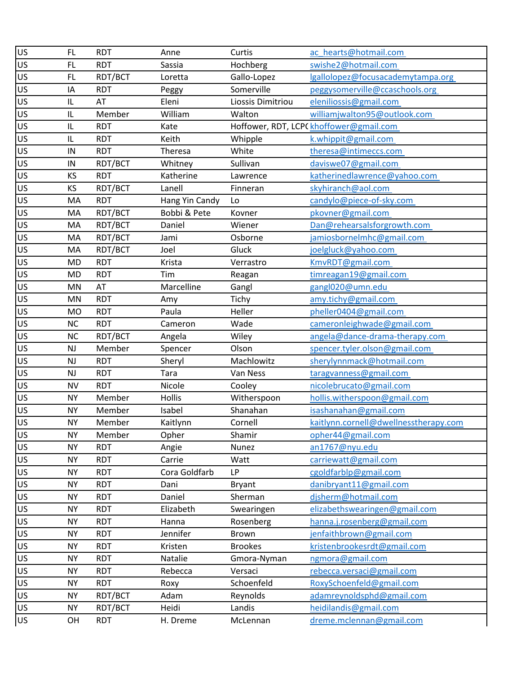| US        | FL.        | <b>RDT</b> | Anne           | Curtis            | ac_hearts@hotmail.com                   |
|-----------|------------|------------|----------------|-------------------|-----------------------------------------|
| US        | <b>FL</b>  | <b>RDT</b> | Sassia         | Hochberg          | swishe2@hotmail.com                     |
| US        | FL.        | RDT/BCT    | Loretta        | Gallo-Lopez       | lgallolopez@focusacademytampa.org       |
| US        | IA         | <b>RDT</b> | Peggy          | Somerville        | peggysomerville@ccaschools.org          |
| US        | IL         | AT         | Eleni          | Liossis Dimitriou | eleniliossis@gmail.com                  |
| US        | IL         | Member     | William        | Walton            | williamjwalton95@outlook.com            |
| US        | IL         | <b>RDT</b> | Kate           |                   | Hoffower, RDT, LCPC khoffower@gmail.com |
| US        | IL         | <b>RDT</b> | Keith          | Whipple           | k.whippit@gmail.com                     |
| US        | IN         | <b>RDT</b> | Theresa        | White             | theresa@intimeccs.com                   |
| US        | ${\sf IN}$ | RDT/BCT    | Whitney        | Sullivan          | daviswe07@gmail.com                     |
| US        | KS         | <b>RDT</b> | Katherine      | Lawrence          | katherinedlawrence@yahoo.com            |
| US        | KS         | RDT/BCT    | Lanell         | Finneran          | skyhiranch@aol.com                      |
| US        | MA         | <b>RDT</b> | Hang Yin Candy | Lo                | candylo@piece-of-sky.com                |
| US        | MA         | RDT/BCT    | Bobbi & Pete   | Kovner            | pkovner@gmail.com                       |
| US        | MA         | RDT/BCT    | Daniel         | Wiener            | Dan@rehearsalsforgrowth.com             |
| US        | MA         | RDT/BCT    | Jami           | Osborne           | jamiosbornelmhc@gmail.com               |
| US        | MA         | RDT/BCT    | Joel           | Gluck             | joelgluck@yahoo.com                     |
| US        | <b>MD</b>  | <b>RDT</b> | Krista         | Verrastro         | KmvRDT@gmail.com                        |
| US        | <b>MD</b>  | <b>RDT</b> | Tim            | Reagan            | timreagan19@gmail.com                   |
| US        | MN         | AT         | Marcelline     | Gangl             | gangl020@umn.edu                        |
| US        | <b>MN</b>  | <b>RDT</b> | Amy            | Tichy             | amy.tichy@gmail.com                     |
| US        | <b>MO</b>  | <b>RDT</b> | Paula          | Heller            | pheller0404@gmail.com                   |
| US        | <b>NC</b>  | <b>RDT</b> | Cameron        | Wade              | cameronleighwade@gmail.com              |
| US        | <b>NC</b>  | RDT/BCT    | Angela         | Wiley             | angela@dance-drama-therapy.com          |
| US        | <b>NJ</b>  | Member     | Spencer        | Olson             | spencer.tyler.olson@gmail.com           |
| US        | <b>NJ</b>  | <b>RDT</b> | Sheryl         | Machlowitz        | sherylynnmack@hotmail.com               |
| US        | <b>NJ</b>  | <b>RDT</b> | Tara           | Van Ness          | taragvanness@gmail.com                  |
| US        | <b>NV</b>  | <b>RDT</b> | Nicole         | Cooley            | nicolebrucato@gmail.com                 |
| US        | <b>NY</b>  | Member     | <b>Hollis</b>  | Witherspoon       | hollis.witherspoon@gmail.com            |
| US        | <b>NY</b>  | Member     | Isabel         | Shanahan          | isashanahan@gmail.com                   |
| US        | <b>NY</b>  | Member     | Kaitlynn       | Cornell           | kaitlynn.cornell@dwellnesstherapy.com   |
| US        | <b>NY</b>  | Member     | Opher          | Shamir            | opher44@gmail.com                       |
| <b>US</b> | <b>NY</b>  | <b>RDT</b> | Angie          | Nunez             | an1767@nyu.edu                          |
| US        | <b>NY</b>  | <b>RDT</b> | Carrie         | Watt              | carriewatt@gmail.com                    |
| US        | <b>NY</b>  | <b>RDT</b> | Cora Goldfarb  | <b>LP</b>         | cgoldfarblp@gmail.com                   |
| US        | <b>NY</b>  | <b>RDT</b> | Dani           | <b>Bryant</b>     | danibryant11@gmail.com                  |
| US        | <b>NY</b>  | <b>RDT</b> | Daniel         | Sherman           | djsherm@hotmail.com                     |
| US        | <b>NY</b>  | <b>RDT</b> | Elizabeth      | Swearingen        | elizabethswearingen@gmail.com           |
| US        | <b>NY</b>  | <b>RDT</b> | Hanna          | Rosenberg         | hanna.j.rosenberg@gmail.com             |
| US        | <b>NY</b>  | <b>RDT</b> | Jennifer       | <b>Brown</b>      | jenfaithbrown@gmail.com                 |
| US        | <b>NY</b>  | <b>RDT</b> | Kristen        | <b>Brookes</b>    | kristenbrookesrdt@gmail.com             |
| <b>US</b> | <b>NY</b>  | <b>RDT</b> | Natalie        | Gmora-Nyman       | ngmora@gmail.com                        |
| US        | <b>NY</b>  | <b>RDT</b> | Rebecca        | Versaci           | rebecca.versaci@gmail.com               |
| US        | <b>NY</b>  | <b>RDT</b> | Roxy           | Schoenfeld        | RoxySchoenfeld@gmail.com                |
| US        | <b>NY</b>  | RDT/BCT    | Adam           | Reynolds          | adamreynoldsphd@gmail.com               |
| US.       | <b>NY</b>  | RDT/BCT    | Heidi          | Landis            | heidilandis@gmail.com                   |
| US        | OH         | <b>RDT</b> | H. Dreme       | McLennan          | dreme.mclennan@gmail.com                |
|           |            |            |                |                   |                                         |